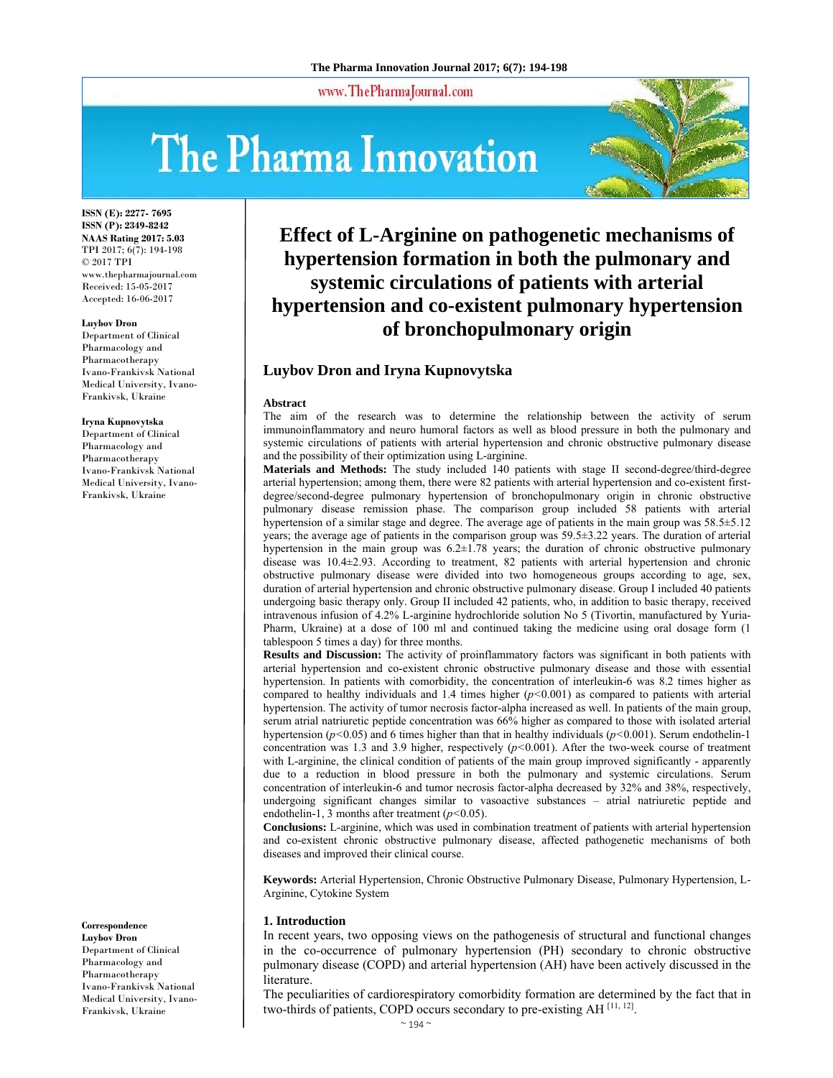www.ThePharmaJournal.com

# The Pharma Innovation



**ISSN (E): 2277- 7695 ISSN (P): 2349-8242 NAAS Rating 2017: 5.03** TPI 2017; 6(7): 194-198 © 2017 TPI www.thepharmajournal.com Received: 15-05-2017 Accepted: 16-06-2017

#### **Luybov Dron**

Department of Clinical Pharmacology and Pharmacotherapy Ivano-Frankivsk National Medical University, Ivano-Frankivsk, Ukraine

#### **Iryna Kupnovytska**

Department of Clinical Pharmacology and Pharmacotherapy Ivano-Frankivsk National Medical University, Ivano-Frankivsk, Ukraine

**Correspondence Luybov Dron**  Department of Clinical Pharmacology and Pharmacotherapy Ivano-Frankivsk National Medical University, Ivano-Frankivsk, Ukraine

# **Effect of L-Arginine on pathogenetic mechanisms of hypertension formation in both the pulmonary and systemic circulations of patients with arterial hypertension and co-existent pulmonary hypertension of bronchopulmonary origin**

# **Luybov Dron and Iryna Kupnovytska**

#### **Abstract**

The aim of the research was to determine the relationship between the activity of serum immunoinflammatory and neuro humoral factors as well as blood pressure in both the pulmonary and systemic circulations of patients with arterial hypertension and chronic obstructive pulmonary disease and the possibility of their optimization using L-arginine.

**Materials and Methods:** The study included 140 patients with stage II second-degree/third-degree arterial hypertension; among them, there were 82 patients with arterial hypertension and co-existent firstdegree/second-degree pulmonary hypertension of bronchopulmonary origin in chronic obstructive pulmonary disease remission phase. The comparison group included 58 patients with arterial hypertension of a similar stage and degree. The average age of patients in the main group was 58.5±5.12 years; the average age of patients in the comparison group was 59.5±3.22 years. The duration of arterial hypertension in the main group was 6.2±1.78 years; the duration of chronic obstructive pulmonary disease was 10.4±2.93. According to treatment, 82 patients with arterial hypertension and chronic obstructive pulmonary disease were divided into two homogeneous groups according to age, sex, duration of arterial hypertension and chronic obstructive pulmonary disease. Group I included 40 patients undergoing basic therapy only. Group II included 42 patients, who, in addition to basic therapy, received intravenous infusion of 4.2% L-arginine hydrochloride solution No 5 (Tivortin, manufactured by Yuria-Pharm, Ukraine) at a dose of 100 ml and continued taking the medicine using oral dosage form (1 tablespoon 5 times a day) for three months.

**Results and Discussion:** The activity of proinflammatory factors was significant in both patients with arterial hypertension and co-existent chronic obstructive pulmonary disease and those with essential hypertension. In patients with comorbidity, the concentration of interleukin-6 was 8.2 times higher as compared to healthy individuals and 1.4 times higher (*p<*0.001) as compared to patients with arterial hypertension. The activity of tumor necrosis factor-alpha increased as well. In patients of the main group, serum atrial natriuretic peptide concentration was 66% higher as compared to those with isolated arterial hypertension (*р<*0.05) and 6 times higher than that in healthy individuals (*р<*0.001). Serum endothelin-1 concentration was 1.3 and 3.9 higher, respectively  $(p<0.001)$ . After the two-week course of treatment with L-arginine, the clinical condition of patients of the main group improved significantly - apparently due to a reduction in blood pressure in both the pulmonary and systemic circulations. Serum concentration of interleukin-6 and tumor necrosis factor-alpha decreased by 32% and 38%, respectively, undergoing significant changes similar to vasoactive substances – atrial natriuretic peptide and endothelin-1, 3 months after treatment (*р<*0.05).

**Conclusions:** L-arginine, which was used in combination treatment of patients with arterial hypertension and co-existent chronic obstructive pulmonary disease, affected pathogenetic mechanisms of both diseases and improved their clinical course.

**Keywords:** Arterial Hypertension, Chronic Obstructive Pulmonary Disease, Pulmonary Hypertension, L-Arginine, Cytokine System

#### **1. Introduction**

In recent years, two opposing views on the pathogenesis of structural and functional changes in the co-occurrence of pulmonary hypertension (PH) secondary to chronic obstructive pulmonary disease (COPD) and arterial hypertension (AH) have been actively discussed in the literature.

The peculiarities of cardiorespiratory comorbidity formation are determined by the fact that in two-thirds of patients, COPD occurs secondary to pre-existing AH [11, 12].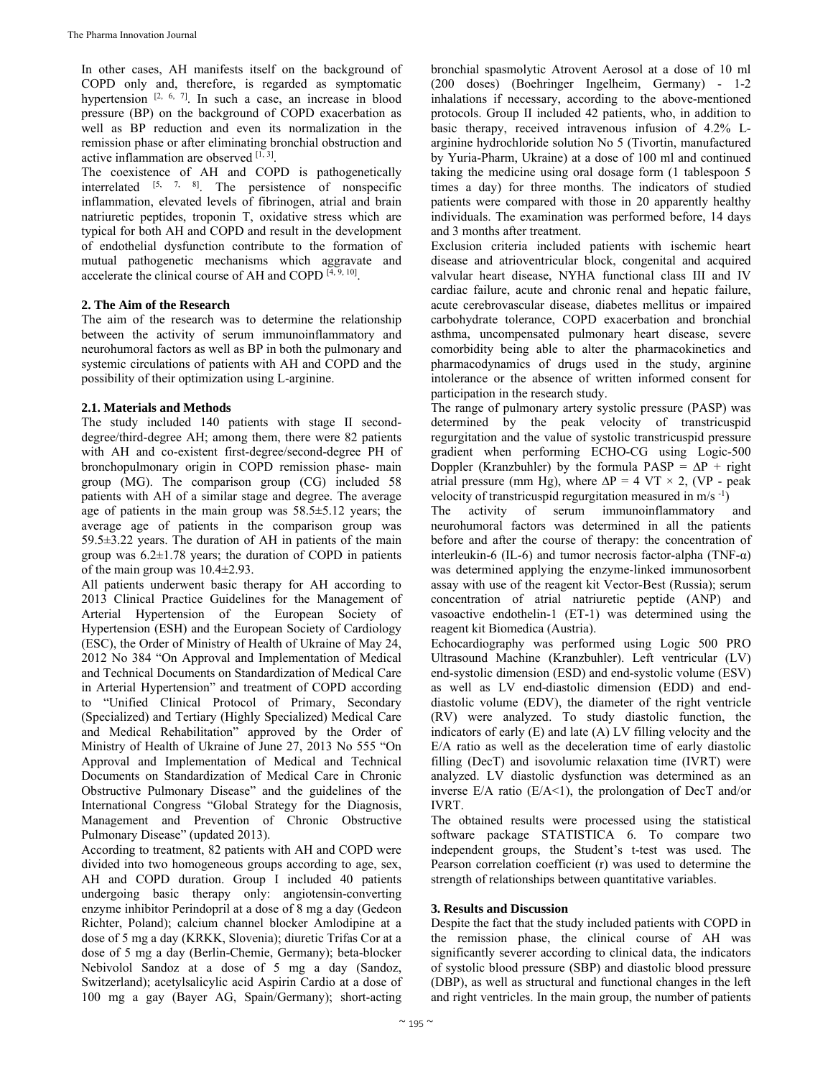In other cases, AH manifests itself on the background of COPD only and, therefore, is regarded as symptomatic hypertension  $[2, 6, 7]$ . In such a case, an increase in blood pressure (BP) on the background of COPD exacerbation as well as BP reduction and even its normalization in the remission phase or after eliminating bronchial obstruction and active inflammation are observed  $[1, 3]$ .

The coexistence of AH and COPD is pathogenetically interrelated [5, 7, 8]. The persistence of nonspecific inflammation, elevated levels of fibrinogen, atrial and brain natriuretic peptides, troponin T, oxidative stress which are typical for both AH and COPD and result in the development of endothelial dysfunction contribute to the formation of mutual pathogenetic mechanisms which aggravate and accelerate the clinical course of AH and COPD  $[4, 9, 10]$ .

# **2. The Aim of the Research**

The aim of the research was to determine the relationship between the activity of serum immunoinflammatory and neurohumoral factors as well as BP in both the pulmonary and systemic circulations of patients with AH and COPD and the possibility of their optimization using L-arginine.

# **2.1. Materials and Methods**

The study included 140 patients with stage II seconddegree/third-degree AH; among them, there were 82 patients with AH and co-existent first-degree/second-degree PH of bronchopulmonary origin in COPD remission phase- main group (MG). The comparison group (CG) included 58 patients with AH of a similar stage and degree. The average age of patients in the main group was 58.5±5.12 years; the average age of patients in the comparison group was 59.5±3.22 years. The duration of AH in patients of the main group was  $6.2 \pm 1.78$  years; the duration of COPD in patients of the main group was 10.4±2.93.

All patients underwent basic therapy for AH according to 2013 Clinical Practice Guidelines for the Management of Arterial Hypertension of the European Society of Hypertension (ESH) and the European Society of Cardiology (ESC), the Order of Ministry of Health of Ukraine of May 24, 2012 No 384 "On Approval and Implementation of Medical and Technical Documents on Standardization of Medical Care in Arterial Hypertension" and treatment of COPD according to "Unified Clinical Protocol of Primary, Secondary (Specialized) and Tertiary (Highly Specialized) Medical Care and Medical Rehabilitation" approved by the Order of Ministry of Health of Ukraine of June 27, 2013 No 555 "On Approval and Implementation of Medical and Technical Documents on Standardization of Medical Care in Chronic Obstructive Pulmonary Disease" and the guidelines of the International Congress "Global Strategy for the Diagnosis, Management and Prevention of Chronic Obstructive Pulmonary Disease" (updated 2013).

According to treatment, 82 patients with AH and COPD were divided into two homogeneous groups according to age, sex, AH and COPD duration. Group I included 40 patients undergoing basic therapy only: angiotensin-converting enzyme inhibitor Perindopril at a dose of 8 mg a day (Gedeon Richter, Poland); calcium channel blocker Amlodipine at a dose of 5 mg a day (KRKK, Slovenia); diuretic Trifas Cor at a dose of 5 mg a day (Berlin-Chemie, Germany); beta-blocker Nebivolol Sandoz at a dose of 5 mg a day (Sandoz, Switzerland); acetylsalicylic acid Aspirin Cardio at a dose of 100 mg a gay (Bayer AG, Spain/Germany); short-acting

bronchial spasmolytic Atrovent Aerosol at a dose of 10 ml (200 doses) (Boehringer Ingelheim, Germany) - 1-2 inhalations if necessary, according to the above-mentioned protocols. Group II included 42 patients, who, in addition to basic therapy, received intravenous infusion of 4.2% Larginine hydrochloride solution No 5 (Tivortin, manufactured by Yuria-Pharm, Ukraine) at a dose of 100 ml and continued taking the medicine using oral dosage form (1 tablespoon 5 times a day) for three months. The indicators of studied patients were compared with those in 20 apparently healthy individuals. The examination was performed before, 14 days and 3 months after treatment.

Exclusion criteria included patients with ischemic heart disease and atrioventricular block, congenital and acquired valvular heart disease, NYHA functional class III and IV cardiac failure, acute and chronic renal and hepatic failure, acute cerebrovascular disease, diabetes mellitus or impaired carbohydrate tolerance, COPD exacerbation and bronchial asthma, uncompensated pulmonary heart disease, severe comorbidity being able to alter the pharmacokinetics and pharmacodynamics of drugs used in the study, arginine intolerance or the absence of written informed consent for participation in the research study.

The range of pulmonary artery systolic pressure (PASP) was determined by the peak velocity of transtricuspid regurgitation and the value of systolic transtricuspid pressure gradient when performing ECHO-CG using Logic-500 Doppler (Kranzbuhler) by the formula PASP =  $\Delta P$  + right atrial pressure (mm Hg), where  $\Delta P = 4 V T \times 2$ , (VP - peak velocity of transtricuspid regurgitation measured in  $m/s^{-1}$ )

The activity of serum immunoinflammatory and neurohumoral factors was determined in all the patients before and after the course of therapy: the concentration of interleukin-6 (IL-6) and tumor necrosis factor-alpha (TNF- $\alpha$ ) was determined applying the enzyme-linked immunosorbent assay with use of the reagent kit Vector-Best (Russia); serum concentration of atrial natriuretic peptide (ANP) and vasoactive endothelin-1 (ET-1) was determined using the reagent kit Biomedica (Austria).

Echocardiography was performed using Logic 500 PRO Ultrasound Machine (Kranzbuhler). Left ventricular (LV) end-systolic dimension (ESD) and end-systolic volume (ESV) as well as LV end-diastolic dimension (EDD) and enddiastolic volume (EDV), the diameter of the right ventricle (RV) were analyzed. To study diastolic function, the indicators of early (E) and late (A) LV filling velocity and the E/A ratio as well as the deceleration time of early diastolic filling (DecT) and isovolumic relaxation time (IVRT) were analyzed. LV diastolic dysfunction was determined as an inverse  $E/A$  ratio ( $E/A < 1$ ), the prolongation of DecT and/or IVRT.

The obtained results were processed using the statistical software package STATISTICA 6. To compare two independent groups, the Student's t-test was used. The Pearson correlation coefficient (r) was used to determine the strength of relationships between quantitative variables.

# **3. Results and Discussion**

Despite the fact that the study included patients with COPD in the remission phase, the clinical course of AH was significantly severer according to clinical data, the indicators of systolic blood pressure (SBP) and diastolic blood pressure (DBP), as well as structural and functional changes in the left and right ventricles. In the main group, the number of patients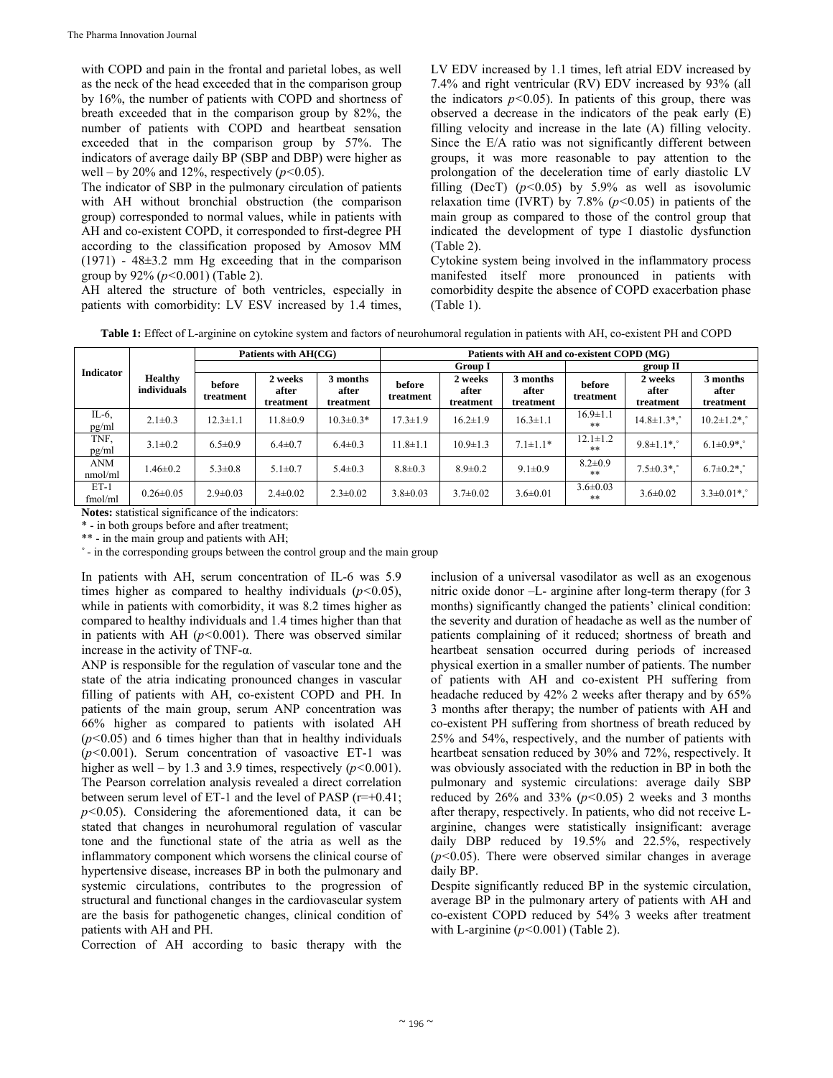with COPD and pain in the frontal and parietal lobes, as well as the neck of the head exceeded that in the comparison group by 16%, the number of patients with COPD and shortness of breath exceeded that in the comparison group by 82%, the number of patients with COPD and heartbeat sensation exceeded that in the comparison group by 57%. The indicators of average daily BP (SBP and DBP) were higher as well – by 20% and 12%, respectively  $(p<0.05)$ .

The indicator of SBP in the pulmonary circulation of patients with AH without bronchial obstruction (the comparison group) corresponded to normal values, while in patients with AH and co-existent COPD, it corresponded to first-degree PH according to the classification proposed by Amosov MM (1971) - 48±3.2 mm Hg exceeding that in the comparison group by 92% (*p<*0.001) (Table 2).

AH altered the structure of both ventricles, especially in patients with comorbidity: LV ESV increased by 1.4 times,

LV EDV increased by 1.1 times, left atrial EDV increased by 7.4% and right ventricular (RV) EDV increased by 93% (all the indicators  $p<0.05$ ). In patients of this group, there was observed a decrease in the indicators of the peak early (E) filling velocity and increase in the late (A) filling velocity. Since the E/A ratio was not significantly different between groups, it was more reasonable to pay attention to the prolongation of the deceleration time of early diastolic LV filling (DecT)  $(p<0.05)$  by 5.9% as well as isovolumic relaxation time (IVRT) by  $7.8\%$  ( $p<0.05$ ) in patients of the main group as compared to those of the control group that indicated the development of type I diastolic dysfunction (Table 2).

Cytokine system being involved in the inflammatory process manifested itself more pronounced in patients with comorbidity despite the absence of COPD exacerbation phase (Table 1).

**Table 1:** Effect of L-arginine on cytokine system and factors of neurohumoral regulation in patients with AH, co-existent PH and COPD

|                       | <b>Healthy</b><br>individuals | Patients with AH(CG) |                               |                                | Patients with AH and co-existent COPD (MG) |                               |                                |                        |                               |                                |  |
|-----------------------|-------------------------------|----------------------|-------------------------------|--------------------------------|--------------------------------------------|-------------------------------|--------------------------------|------------------------|-------------------------------|--------------------------------|--|
| <b>Indicator</b>      |                               |                      |                               |                                | <b>Group I</b>                             |                               |                                | group II               |                               |                                |  |
|                       |                               | before<br>treatment  | 2 weeks<br>after<br>treatment | 3 months<br>after<br>treatment | before<br>treatment                        | 2 weeks<br>after<br>treatment | 3 months<br>after<br>treatment | before<br>treatment    | 2 weeks<br>after<br>treatment | 3 months<br>after<br>treatment |  |
| IL- $6$ ,<br>pg/ml    | $2.1 \pm 0.3$                 | $12.3 \pm 1.1$       | $11.8 \pm 0.9$                | $10.3 \pm 0.3*$                | $17.3 \pm 1.9$                             | $16.2 \pm 1.9$                | $16.3 \pm 1.1$                 | $16.9 \pm 1.1$<br>**   | $14.8 \pm 1.3$ *.             | $10.2 \pm 1.2$ *.              |  |
| TNF,<br>pg/ml         | $3.1 \pm 0.2$                 | $6.5 \pm 0.9$        | $6.4 \pm 0.7$                 | $6.4 \pm 0.3$                  | $11.8 \pm 1.1$                             | $10.9 \pm 1.3$                | $7.1 \pm 1.1*$                 | $12.1 \pm 1.2$<br>**   | $9.8 \pm 1.1$ *.              | $6.1 \pm 0.9$ *.               |  |
| <b>ANM</b><br>nmol/ml | $1.46 \pm 0.2$                | $5.3 \pm 0.8$        | $5.1 \pm 0.7$                 | $5.4 \pm 0.3$                  | $8.8 \pm 0.3$                              | $8.9 \pm 0.2$                 | $9.1 \pm 0.9$                  | $8.2 \pm 0.9$<br>**    | $7.5 \pm 0.3$ *.              | $6.7 \pm 0.2$ *.               |  |
| $ET-1$<br>fmol/ml     | $0.26 \pm 0.05$               | $2.9 \pm 0.03$       | $2.4 \pm 0.02$                | $2.3 \pm 0.02$                 | $3.8 \pm 0.03$                             | $3.7 \pm 0.02$                | $3.6 \pm 0.01$                 | $3.6 \pm 0.03$<br>$**$ | $3.6 \pm 0.02$                | $3.3 \pm 0.01$ *.              |  |

**Notes:** statistical significance of the indicators:

\* - in both groups before and after treatment;

\*\* - in the main group and patients with AH;

˚ - in the corresponding groups between the control group and the main group

In patients with AH, serum concentration of IL-6 was 5.9 times higher as compared to healthy individuals  $(p<0.05)$ , while in patients with comorbidity, it was 8.2 times higher as compared to healthy individuals and 1.4 times higher than that in patients with AH (*р<*0.001). There was observed similar increase in the activity of TNF- $\alpha$ .

ANP is responsible for the regulation of vascular tone and the state of the atria indicating pronounced changes in vascular filling of patients with AH, co-existent COPD and PH. In patients of the main group, serum ANP concentration was 66% higher as compared to patients with isolated AH (*р<*0.05) and 6 times higher than that in healthy individuals (*р<*0.001). Serum concentration of vasoactive ET-1 was higher as well – by 1.3 and 3.9 times, respectively  $(p<0.001)$ . The Pearson correlation analysis revealed a direct correlation between serum level of ET-1 and the level of PASP  $(r=+0.41)$ ; *p<*0.05). Considering the aforementioned data, it can be stated that changes in neurohumoral regulation of vascular tone and the functional state of the atria as well as the inflammatory component which worsens the clinical course of hypertensive disease, increases BP in both the pulmonary and systemic circulations, contributes to the progression of structural and functional changes in the cardiovascular system are the basis for pathogenetic changes, clinical condition of patients with AH and PH.

Correction of AH according to basic therapy with the

inclusion of a universal vasodilator as well as an exogenous nitric oxide donor –L- arginine after long-term therapy (for 3 months) significantly changed the patients' clinical condition: the severity and duration of headache as well as the number of patients complaining of it reduced; shortness of breath and heartbeat sensation occurred during periods of increased physical exertion in a smaller number of patients. The number of patients with AH and co-existent PH suffering from headache reduced by 42% 2 weeks after therapy and by 65% 3 months after therapy; the number of patients with AH and co-existent PH suffering from shortness of breath reduced by 25% and 54%, respectively, and the number of patients with heartbeat sensation reduced by 30% and 72%, respectively. It was obviously associated with the reduction in BP in both the pulmonary and systemic circulations: average daily SBP reduced by 26% and 33% (*p<*0.05) 2 weeks and 3 months after therapy, respectively. In patients, who did not receive Larginine, changes were statistically insignificant: average daily DBP reduced by 19.5% and 22.5%, respectively (*p<*0.05). There were observed similar changes in average daily BP.

Despite significantly reduced BP in the systemic circulation, average BP in the pulmonary artery of patients with AH and co-existent COPD reduced by 54% 3 weeks after treatment with L-arginine (*p<*0.001) (Table 2).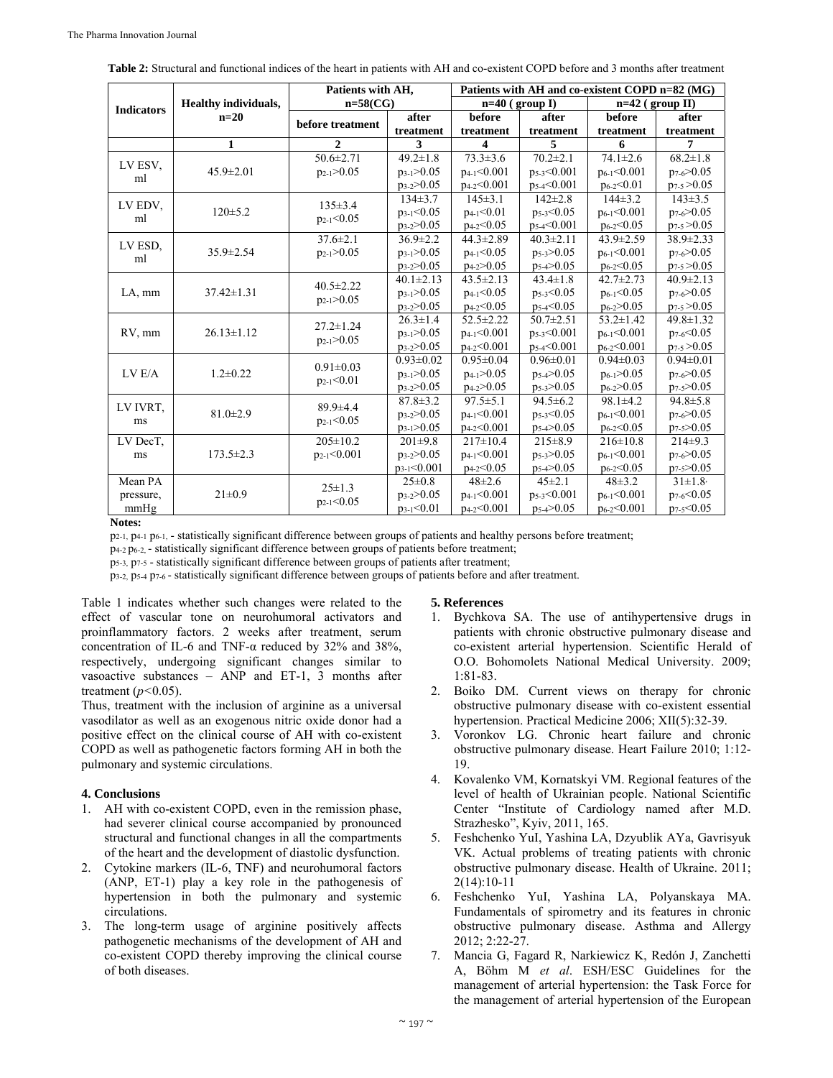|                   |                             | Patients with AH.                   |                   | Patients with AH and co-existent COPD n=82 (MG) |                   |                   |                        |  |
|-------------------|-----------------------------|-------------------------------------|-------------------|-------------------------------------------------|-------------------|-------------------|------------------------|--|
| <b>Indicators</b> | <b>Healthy individuals,</b> | $n=58$ (CG)                         |                   |                                                 | $n=40$ (group I)  | $n=42$ (group II) |                        |  |
|                   | $n=20$                      | before treatment                    | after             | before                                          | after             | before            | after                  |  |
|                   |                             |                                     | treatment         | treatment                                       | treatment         | treatment         | treatment              |  |
|                   | 1                           | $\mathbf{2}$                        | 3                 | 4                                               | 5                 | 6                 | 7                      |  |
| LV ESV,<br>ml     |                             | $50.6 \pm 2.71$                     | $49.2 \pm 1.8$    | $73.3 \pm 3.6$                                  | $70.2{\pm}2.1$    | $74.1 \pm 2.6$    | $68.2 \pm 1.8$         |  |
|                   | $45.9 \pm 2.01$             | $p_{2-1} > 0.05$                    | $p_{3-1} > 0.05$  | $p_{4-1} < 0.001$                               | $p_5-3<0.001$     | $p_{6-1} < 0.001$ | $p_{7-6} > 0.05$       |  |
|                   |                             |                                     | $p_3$ -2 $>0.05$  | $p_{4-2} < 0.001$                               | $p_{5.4} < 0.001$ | $p_{6-2} < 0.01$  | $p_{7-5} > 0.05$       |  |
| LV EDV,<br>ml     |                             | $135 \pm 3.4$                       | $134\pm3.7$       | $145 \pm 3.1$                                   | $142 \pm 2.8$     | $144\pm3.2$       | $143 \pm 3.5$          |  |
|                   | $120 \pm 5.2$               | $p_{2-1} < 0.05$                    | $p_{3-1} < 0.05$  | $p_{4-1} < 0.01$                                | $p_5-3<0.05$      | $p_{6-1} < 0.001$ | $p_{7.6} > 0.05$       |  |
|                   |                             |                                     | $p_3-2>0.05$      | $p_{4-2} < 0.05$                                | $p_{5.4} < 0.001$ | $p_{6-2} < 0.05$  | $p_{7-5} > 0.05$       |  |
| LV ESD,<br>ml     |                             | $37.6 \pm 2.1$                      | $36.9 \pm 2.2$    | $44.3 \pm 2.89$                                 | $40.3 \pm 2.11$   | 43.9±2.59         | $38.9 \pm 2.33$        |  |
|                   | $35.9 \pm 2.54$             | $p_{2-1} > 0.05$                    | $p_{3-1} > 0.05$  | $p_{4-1} < 0.05$                                | $p_5=3>0.05$      | $p_{6-1} < 0.001$ | $p_{7-6} > 0.05$       |  |
|                   |                             |                                     | $p_3-2>0.05$      | $p_{4-2} > 0.05$                                | $p_5=4>0.05$      | $p_{6-2} < 0.05$  | $p_{7-5} > 0.05$       |  |
| LA, mm            | $37.42 \pm 1.31$            | $40.5 \pm 2.22$<br>$p_{2-1} > 0.05$ | $40.1 \pm 2.13$   | $43.5 \pm 2.13$                                 | $43.4 \pm 1.8$    | $42.7 \pm 2.73$   | $40.9 \pm 2.13$        |  |
|                   |                             |                                     | $p_{3-1} > 0.05$  | $p_{4-1} < 0.05$                                | $p_{5.3} < 0.05$  | $p_{6-1} < 0.05$  | p <sub>7-6</sub> >0.05 |  |
|                   |                             |                                     | $p_3 - 2 > 0.05$  | $p_{4-2} < 0.05$                                | $p_{5.4}$ < 0.05  | $p_{6-2} > 0.05$  | $p_{7-5} > 0.05$       |  |
| RV, mm            | $26.13 \pm 1.12$            | $27.2 \pm 1.24$                     | $26.3 \pm 1.4$    | $52.5 \pm 2.22$                                 | $50.7 \pm 2.51$   | $53.2 \pm 1.42$   | 49.8±1.32              |  |
|                   |                             | $p_{2-1} > 0.05$                    | $p_{3-1} > 0.05$  | $p_{4-1} < 0.001$                               | $p_{5-3}$ < 0.001 | $p_{6-1} < 0.001$ | $p_{7-6}$ < 0.05       |  |
|                   |                             |                                     | $p_{3-2} > 0.05$  | p <sub>4-2</sub> <0.001                         | $p_{5.4} < 0.001$ | $p_{6-2} < 0.001$ | $p_{7-5} > 0.05$       |  |
|                   |                             | $0.91 \pm 0.03$                     | $0.93 \pm 0.02$   | $0.95 \pm 0.04$                                 | $0.96 \pm 0.01$   | $0.94 \pm 0.03$   | $0.94 \pm 0.01$        |  |
| LV E/A            | $1.2 \pm 0.22$              | $p_{2-1} < 0.01$                    | $p_{3-1} > 0.05$  | $p_{4-1} > 0.05$                                | $p_5 = 0.05$      | $p_{6-1} > 0.05$  | $p_{7.6} > 0.05$       |  |
|                   |                             |                                     | $p_3-2>0.05$      | $p_{4-2} > 0.05$                                | $p_5=3>0.05$      | $p_{6-2} > 0.05$  | $p_{7-5} > 0.05$       |  |
| LV IVRT,          |                             | $89.9 + 4.4$                        | $87.8 \pm 3.2$    | $97.5 \pm 5.1$                                  | $94.5 \pm 6.2$    | $98.1 \pm 4.2$    | $94.8 \pm 5.8$         |  |
| ms                | $81.0 \pm 2.9$              | $p_{2-1} < 0.05$                    | $p_3 - 2 > 0.05$  | $p_{4-1} < 0.001$                               | $p_{5-3}$ <0.05   | $p_{6-1} < 0.001$ | $p_{7.6} > 0.05$       |  |
|                   |                             |                                     | $p_{3-1} > 0.05$  | $p_{4-2} < 0.001$                               | $p_5 = 4$ > 0.05  | $p_{6-2} < 0.05$  | $p_{7-5} > 0.05$       |  |
| LV DecT,          | $173.5 \pm 2.3$             | $205 \pm 10.2$                      | $201\pm9.8$       | $217\pm10.4$                                    | $215 \pm 8.9$     | $216 \pm 10.8$    | $214\pm9.3$            |  |
| ms                |                             | $p_{2-1} < 0.001$                   | $p_3 - 2 > 0.05$  | $p_{4-1} < 0.001$                               | $p_5=3>0.05$      | $p_{6-1} < 0.001$ | $p_{7.6} > 0.05$       |  |
|                   |                             |                                     | $p_{3-1} < 0.001$ | $p_{4-2} < 0.05$                                | $p_5 = 4$ > 0.05  | $p_{6-2} < 0.05$  | $p_{7-5} > 0.05$       |  |
| Mean PA           |                             | $2.5 \pm 1.3$                       | $25 \pm 0.8$      | $48\pm2.6$                                      | $45 \pm 2.1$      | $48 \pm 3.2$      | $31 \pm 1.8$           |  |
| pressure,         | $21 \pm 0.9$                | $p_{2-1} < 0.05$                    | $p_3 - 2 > 0.05$  | $p_{4-1} < 0.001$                               | $p_5-3<0.001$     | $p_{6-1} < 0.001$ | $p_{7.6}$ < 0.05       |  |
| mmHg              |                             |                                     | $p_{3-1} < 0.01$  | $p_{4-2} < 0.001$                               | $p_{5.4} > 0.05$  | $p_{6-2} < 0.001$ | $p_{7-5} < 0.05$       |  |

Table 2: Structural and functional indices of the heart in patients with AH and co-existent COPD before and 3 months after treatment

Notes:

p<sub>2-1</sub>, p<sub>4-1</sub> p<sub>6-1</sub>, - statistically significant difference between groups of patients and healthy persons before treatment;

 $p_{4-2}p_{6-2}$ , statistically significant difference between groups of patients before treatment;

p<sub>5-3</sub>, p<sub>7-5</sub> - statistically significant difference between groups of patients after treatment;

p<sub>3-2</sub>, p<sub>5-4</sub> p<sub>7-6</sub>-statistically significant difference between groups of patients before and after treatment.

Table 1 indicates whether such changes were related to the effect of vascular tone on neurohumoral activators and proinflammatory factors. 2 weeks after treatment, serum concentration of IL-6 and TNF- $\alpha$  reduced by 32% and 38%, respectively, undergoing significant changes similar to vasoactive substances - ANP and ET-1, 3 months after treatment ( $p$ <0.05).

Thus, treatment with the inclusion of arginine as a universal vasodilator as well as an exogenous nitric oxide donor had a positive effect on the clinical course of AH with co-existent COPD as well as pathogenetic factors forming AH in both the pulmonary and systemic circulations.

# 4. Conclusions

- 1. AH with co-existent COPD, even in the remission phase, had severer clinical course accompanied by pronounced structural and functional changes in all the compartments of the heart and the development of diastolic dysfunction.
- 2. Cytokine markers (IL-6, TNF) and neurohumoral factors (ANP, ET-1) play a key role in the pathogenesis of hypertension in both the pulmonary and systemic circulations.
- 3. The long-term usage of arginine positively affects pathogenetic mechanisms of the development of AH and co-existent COPD thereby improving the clinical course of both diseases.

# 5. References

- 1. Bychkova SA. The use of antihypertensive drugs in patients with chronic obstructive pulmonary disease and co-existent arterial hypertension. Scientific Herald of O.O. Bohomolets National Medical University. 2009;  $1:81-83.$
- 2. Boiko DM. Current views on therapy for chronic obstructive pulmonary disease with co-existent essential hypertension. Practical Medicine 2006; XII(5):32-39.
- $3.$ Voronkov LG. Chronic heart failure and chronic obstructive pulmonary disease. Heart Failure 2010; 1:12-19.
- 4. Kovalenko VM, Kornatskyi VM. Regional features of the level of health of Ukrainian people. National Scientific Center "Institute of Cardiology named after M.D. Strazhesko", Kyiv, 2011, 165.
- 5. Feshchenko YuI, Yashina LA, Dzyublik AYa, Gavrisyuk VK. Actual problems of treating patients with chronic obstructive pulmonary disease. Health of Ukraine. 2011;  $2(14):10-11$
- 6. Feshchenko YuI, Yashina LA, Polyanskaya MA. Fundamentals of spirometry and its features in chronic obstructive pulmonary disease. Asthma and Allergy 2012; 2:22-27.
- 7. Mancia G, Fagard R, Narkiewicz K, Redón J, Zanchetti A, Böhm M et al. ESH/ESC Guidelines for the management of arterial hypertension: the Task Force for the management of arterial hypertension of the European